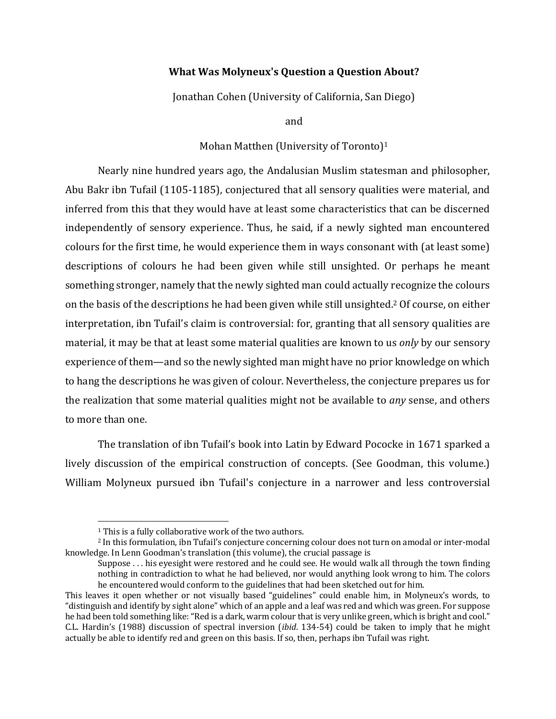## **What Was Molyneux's Question a Question About?**

Jonathan Cohen (University of California, San Diego)

and

#### Mohan Matthen (University of Toronto)<sup>1</sup>

Nearly nine hundred years ago, the Andalusian Muslim statesman and philosopher, Abu Bakr ibn Tufail (1105-1185), conjectured that all sensory qualities were material, and inferred from this that they would have at least some characteristics that can be discerned independently of sensory experience. Thus, he said, if a newly sighted man encountered colours for the first time, he would experience them in ways consonant with (at least some) descriptions of colours he had been given while still unsighted. Or perhaps he meant something stronger, namely that the newly sighted man could actually recognize the colours on the basis of the descriptions he had been given while still unsighted.<sup>2</sup> Of course, on either interpretation, ibn Tufail's claim is controversial: for, granting that all sensory qualities are material, it may be that at least some material qualities are known to us *only* by our sensory experience of them—and so the newly sighted man might have no prior knowledge on which to hang the descriptions he was given of colour. Nevertheless, the conjecture prepares us for the realization that some material qualities might not be available to *any* sense, and others to more than one.

The translation of ibn Tufail's book into Latin by Edward Pococke in 1671 sparked a lively discussion of the empirical construction of concepts. (See Goodman, this volume.) William Molyneux pursued ibn Tufail's conjecture in a narrower and less controversial

 $1$  This is a fully collaborative work of the two authors.

<sup>&</sup>lt;sup>2</sup> In this formulation, ibn Tufail's conjecture concerning colour does not turn on amodal or inter-modal knowledge. In Lenn Goodman's translation (this volume), the crucial passage is

Suppose  $\dots$  his eyesight were restored and he could see. He would walk all through the town finding nothing in contradiction to what he had believed, nor would anything look wrong to him. The colors he encountered would conform to the guidelines that had been sketched out for him.

This leaves it open whether or not visually based "guidelines" could enable him, in Molyneux's words, to "distinguish and identify by sight alone" which of an apple and a leaf was red and which was green. For suppose he had been told something like: "Red is a dark, warm colour that is very unlike green, which is bright and cool." C.L. Hardin's (1988) discussion of spectral inversion *(ibid.* 134-54) could be taken to imply that he might actually be able to identify red and green on this basis. If so, then, perhaps ibn Tufail was right.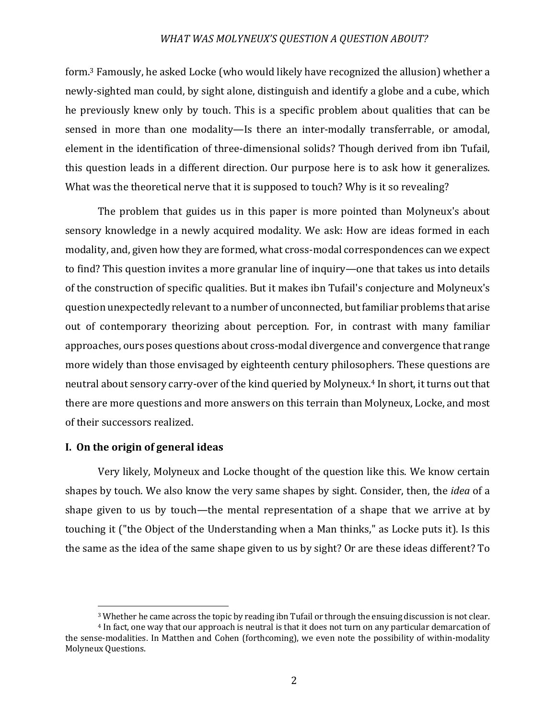form.<sup>3</sup> Famously, he asked Locke (who would likely have recognized the allusion) whether a newly-sighted man could, by sight alone, distinguish and identify a globe and a cube, which he previously knew only by touch. This is a specific problem about qualities that can be sensed in more than one modality—Is there an inter-modally transferrable, or amodal, element in the identification of three-dimensional solids? Though derived from ibn Tufail, this question leads in a different direction. Our purpose here is to ask how it generalizes. What was the theoretical nerve that it is supposed to touch? Why is it so revealing?

The problem that guides us in this paper is more pointed than Molyneux's about sensory knowledge in a newly acquired modality. We ask: How are ideas formed in each modality, and, given how they are formed, what cross-modal correspondences can we expect to find? This question invites a more granular line of inquiry—one that takes us into details of the construction of specific qualities. But it makes ibn Tufail's conjecture and Molyneux's question unexpectedly relevant to a number of unconnected, but familiar problems that arise out of contemporary theorizing about perception. For, in contrast with many familiar approaches, ours poses questions about cross-modal divergence and convergence that range more widely than those envisaged by eighteenth century philosophers. These questions are neutral about sensory carry-over of the kind queried by Molyneux.<sup>4</sup> In short, it turns out that there are more questions and more answers on this terrain than Molyneux, Locke, and most of their successors realized.

# **I. On the origin of general ideas**

Very likely, Molyneux and Locke thought of the question like this. We know certain shapes by touch. We also know the very same shapes by sight. Consider, then, the *idea* of a shape given to us by touch—the mental representation of a shape that we arrive at by touching it ("the Object of the Understanding when a Man thinks," as Locke puts it). Is this the same as the idea of the same shape given to us by sight? Or are these ideas different? To

 $3$  Whether he came across the topic by reading ibn Tufail or through the ensuing discussion is not clear.

<sup>&</sup>lt;sup>4</sup> In fact, one way that our approach is neutral is that it does not turn on any particular demarcation of the sense-modalities. In Matthen and Cohen (forthcoming), we even note the possibility of within-modality Molyneux Questions.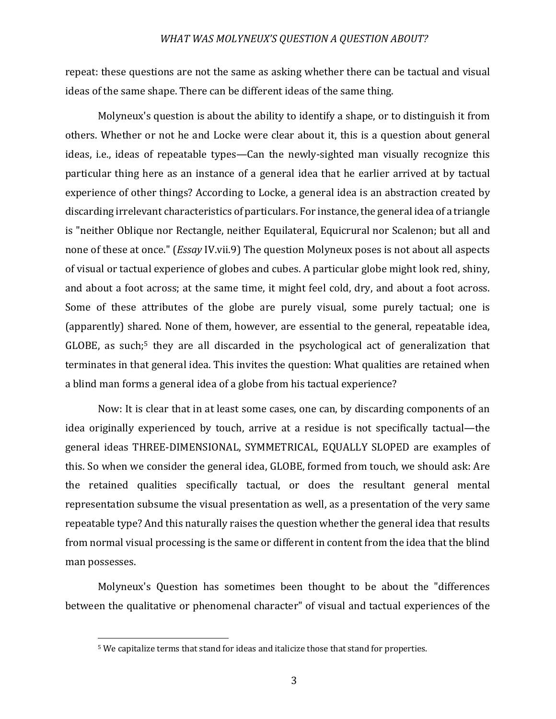repeat: these questions are not the same as asking whether there can be tactual and visual ideas of the same shape. There can be different ideas of the same thing.

Molyneux's question is about the ability to identify a shape, or to distinguish it from others. Whether or not he and Locke were clear about it, this is a question about general ideas, i.e., ideas of repeatable types—Can the newly-sighted man visually recognize this particular thing here as an instance of a general idea that he earlier arrived at by tactual experience of other things? According to Locke, a general idea is an abstraction created by discarding irrelevant characteristics of particulars. For instance, the general idea of a triangle is "neither Oblique nor Rectangle, neither Equilateral, Equicrural nor Scalenon; but all and none of these at once." (*Essay* IV.vii.9) The question Molyneux poses is not about all aspects of visual or tactual experience of globes and cubes. A particular globe might look red, shiny, and about a foot across; at the same time, it might feel cold, dry, and about a foot across. Some of these attributes of the globe are purely visual, some purely tactual; one is (apparently) shared. None of them, however, are essential to the general, repeatable idea, GLOBE, as such;<sup>5</sup> they are all discarded in the psychological act of generalization that terminates in that general idea. This invites the question: What qualities are retained when a blind man forms a general idea of a globe from his tactual experience?

Now: It is clear that in at least some cases, one can, by discarding components of an idea originally experienced by touch, arrive at a residue is not specifically tactual—the general ideas THREE-DIMENSIONAL, SYMMETRICAL, EQUALLY SLOPED are examples of this. So when we consider the general idea, GLOBE, formed from touch, we should ask: Are the retained qualities specifically tactual, or does the resultant general mental representation subsume the visual presentation as well, as a presentation of the very same repeatable type? And this naturally raises the question whether the general idea that results from normal visual processing is the same or different in content from the idea that the blind man possesses.

Molyneux's Question has sometimes been thought to be about the "differences" between the qualitative or phenomenal character" of visual and tactual experiences of the

<sup>&</sup>lt;sup>5</sup> We capitalize terms that stand for ideas and italicize those that stand for properties.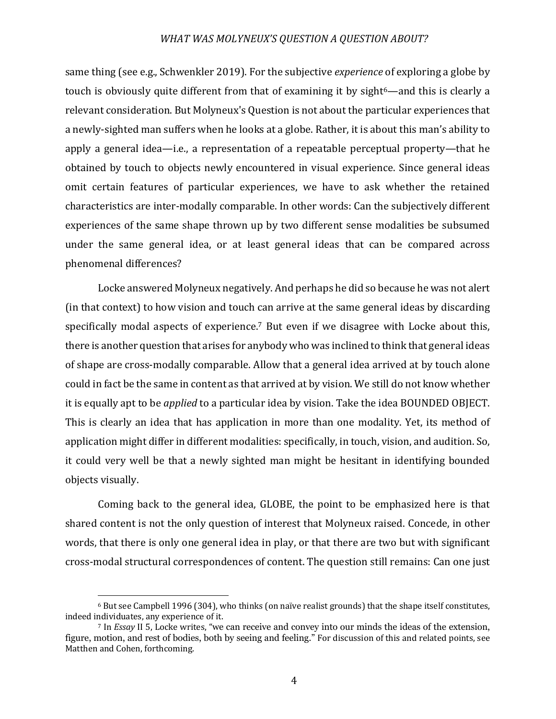same thing (see e.g., Schwenkler 2019). For the subjective *experience* of exploring a globe by touch is obviously quite different from that of examining it by sight<sup>6</sup>—and this is clearly a relevant consideration. But Molyneux's Question is not about the particular experiences that a newly-sighted man suffers when he looks at a globe. Rather, it is about this man's ability to apply a general idea—i.e., a representation of a repeatable perceptual property—that he obtained by touch to objects newly encountered in visual experience. Since general ideas omit certain features of particular experiences, we have to ask whether the retained characteristics are inter-modally comparable. In other words: Can the subjectively different experiences of the same shape thrown up by two different sense modalities be subsumed under the same general idea, or at least general ideas that can be compared across phenomenal differences?

Locke answered Molyneux negatively. And perhaps he did so because he was not alert (in that context) to how vision and touch can arrive at the same general ideas by discarding specifically modal aspects of experience.<sup>7</sup> But even if we disagree with Locke about this, there is another question that arises for anybody who was inclined to think that general ideas of shape are cross-modally comparable. Allow that a general idea arrived at by touch alone could in fact be the same in content as that arrived at by vision. We still do not know whether it is equally apt to be *applied* to a particular idea by vision. Take the idea BOUNDED OBJECT. This is clearly an idea that has application in more than one modality. Yet, its method of application might differ in different modalities: specifically, in touch, vision, and audition. So, it could very well be that a newly sighted man might be hesitant in identifying bounded objects visually. 

Coming back to the general idea, GLOBE, the point to be emphasized here is that shared content is not the only question of interest that Molyneux raised. Concede, in other words, that there is only one general idea in play, or that there are two but with significant cross-modal structural correspondences of content. The question still remains: Can one just

<sup>&</sup>lt;sup>6</sup> But see Campbell 1996 (304), who thinks (on naïve realist grounds) that the shape itself constitutes, indeed individuates, any experience of it.

<sup>&</sup>lt;sup>7</sup> In *Essay* II 5, Locke writes, "we can receive and convey into our minds the ideas of the extension, figure, motion, and rest of bodies, both by seeing and feeling." For discussion of this and related points, see Matthen and Cohen, forthcoming.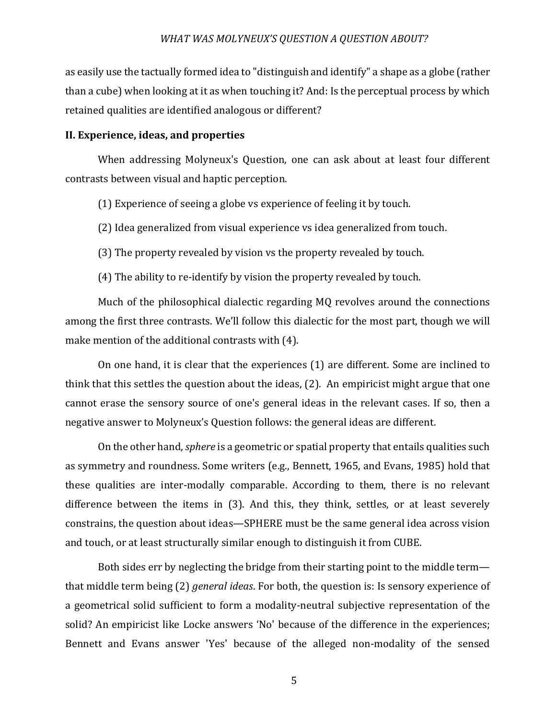as easily use the tactually formed idea to "distinguish and identify" a shape as a globe (rather than a cube) when looking at it as when touching it? And: Is the perceptual process by which retained qualities are identified analogous or different?

# **II. Experience, ideas, and properties**

When addressing Molyneux's Question, one can ask about at least four different contrasts between visual and haptic perception.

(1) Experience of seeing a globe vs experience of feeling it by touch.

(2) Idea generalized from visual experience vs idea generalized from touch.

(3) The property revealed by vision vs the property revealed by touch.

(4) The ability to re-identify by vision the property revealed by touch.

Much of the philosophical dialectic regarding MQ revolves around the connections among the first three contrasts. We'll follow this dialectic for the most part, though we will make mention of the additional contrasts with  $(4)$ .

On one hand, it is clear that the experiences (1) are different. Some are inclined to think that this settles the question about the ideas, (2). An empiricist might argue that one cannot erase the sensory source of one's general ideas in the relevant cases. If so, then a negative answer to Molyneux's Question follows: the general ideas are different.

On the other hand, *sphere* is a geometric or spatial property that entails qualities such as symmetry and roundness. Some writers (e.g., Bennett, 1965, and Evans, 1985) hold that these qualities are inter-modally comparable. According to them, there is no relevant difference between the items in (3). And this, they think, settles, or at least severely constrains, the question about ideas—SPHERE must be the same general idea across vision and touch, or at least structurally similar enough to distinguish it from CUBE.

Both sides err by neglecting the bridge from their starting point to the middle term that middle term being (2) *general ideas*. For both, the question is: Is sensory experience of a geometrical solid sufficient to form a modality-neutral subjective representation of the solid? An empiricist like Locke answers 'No' because of the difference in the experiences; Bennett and Evans answer 'Yes' because of the alleged non-modality of the sensed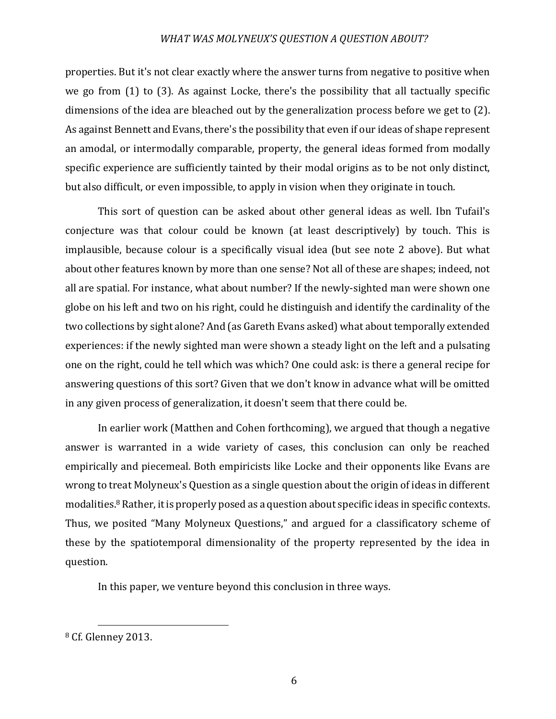properties. But it's not clear exactly where the answer turns from negative to positive when we go from  $(1)$  to  $(3)$ . As against Locke, there's the possibility that all tactually specific dimensions of the idea are bleached out by the generalization process before we get to  $(2)$ . As against Bennett and Evans, there's the possibility that even if our ideas of shape represent an amodal, or intermodally comparable, property, the general ideas formed from modally specific experience are sufficiently tainted by their modal origins as to be not only distinct, but also difficult, or even impossible, to apply in vision when they originate in touch.

This sort of question can be asked about other general ideas as well. Ibn Tufail's conjecture was that colour could be known (at least descriptively) by touch. This is implausible, because colour is a specifically visual idea (but see note 2 above). But what about other features known by more than one sense? Not all of these are shapes; indeed, not all are spatial. For instance, what about number? If the newly-sighted man were shown one globe on his left and two on his right, could he distinguish and identify the cardinality of the two collections by sight alone? And (as Gareth Evans asked) what about temporally extended experiences: if the newly sighted man were shown a steady light on the left and a pulsating one on the right, could he tell which was which? One could ask: is there a general recipe for answering questions of this sort? Given that we don't know in advance what will be omitted in any given process of generalization, it doesn't seem that there could be.

In earlier work (Matthen and Cohen forthcoming), we argued that though a negative answer is warranted in a wide variety of cases, this conclusion can only be reached empirically and piecemeal. Both empiricists like Locke and their opponents like Evans are wrong to treat Molyneux's Question as a single question about the origin of ideas in different modalities.<sup>8</sup> Rather, it is properly posed as a question about specific ideas in specific contexts. Thus, we posited "Many Molyneux Questions," and argued for a classificatory scheme of these by the spatiotemporal dimensionality of the property represented by the idea in question. 

In this paper, we venture beyond this conclusion in three ways.

<sup>&</sup>lt;sup>8</sup> Cf. Glenney 2013.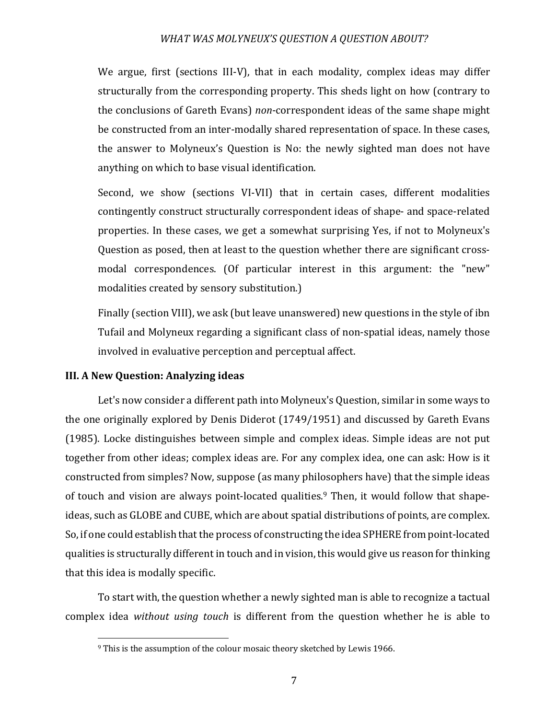We argue, first (sections III-V), that in each modality, complex ideas may differ structurally from the corresponding property. This sheds light on how (contrary to the conclusions of Gareth Evans) *non*-correspondent ideas of the same shape might be constructed from an inter-modally shared representation of space. In these cases, the answer to Molyneux's Question is No: the newly sighted man does not have anything on which to base visual identification.

Second, we show (sections VI-VII) that in certain cases, different modalities contingently construct structurally correspondent ideas of shape- and space-related properties. In these cases, we get a somewhat surprising Yes, if not to Molyneux's Question as posed, then at least to the question whether there are significant crossmodal correspondences. (Of particular interest in this argument: the "new" modalities created by sensory substitution.)

Finally (section VIII), we ask (but leave unanswered) new questions in the style of ibn Tufail and Molyneux regarding a significant class of non-spatial ideas, namely those involved in evaluative perception and perceptual affect.

## **III. A New Question: Analyzing ideas**

Let's now consider a different path into Molyneux's Question, similar in some ways to the one originally explored by Denis Diderot  $(1749/1951)$  and discussed by Gareth Evans (1985). Locke distinguishes between simple and complex ideas. Simple ideas are not put together from other ideas; complex ideas are. For any complex idea, one can ask: How is it constructed from simples? Now, suppose (as many philosophers have) that the simple ideas of touch and vision are always point-located qualities.<sup>9</sup> Then, it would follow that shapeideas, such as GLOBE and CUBE, which are about spatial distributions of points, are complex. So, if one could establish that the process of constructing the idea SPHERE from point-located qualities is structurally different in touch and in vision, this would give us reason for thinking that this idea is modally specific.

To start with, the question whether a newly sighted man is able to recognize a tactual complex idea *without using touch* is different from the question whether he is able to

<sup>&</sup>lt;sup>9</sup> This is the assumption of the colour mosaic theory sketched by Lewis 1966.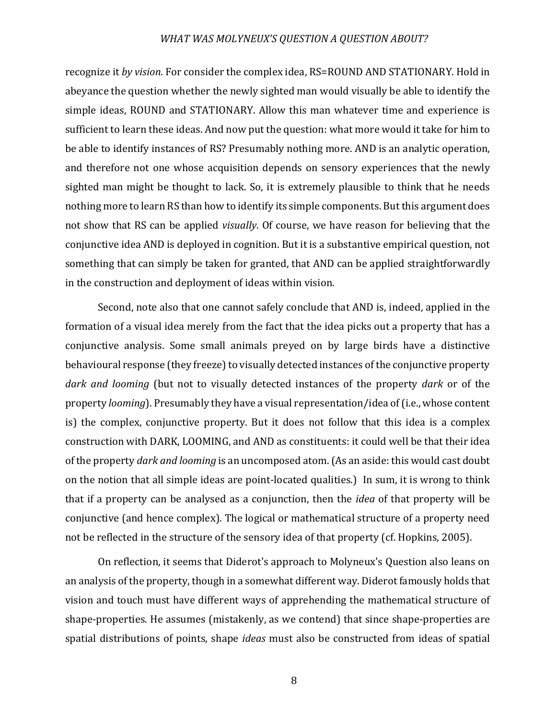recognize it *by vision*. For consider the complex idea, RS=ROUND AND STATIONARY. Hold in abeyance the question whether the newly sighted man would visually be able to identify the simple ideas, ROUND and STATIONARY. Allow this man whatever time and experience is sufficient to learn these ideas. And now put the question: what more would it take for him to be able to identify instances of RS? Presumably nothing more. AND is an analytic operation, and therefore not one whose acquisition depends on sensory experiences that the newly sighted man might be thought to lack. So, it is extremely plausible to think that he needs nothing more to learn RS than how to identify its simple components. But this argument does not show that RS can be applied *visually*. Of course, we have reason for believing that the conjunctive idea AND is deployed in cognition. But it is a substantive empirical question, not something that can simply be taken for granted, that AND can be applied straightforwardly in the construction and deployment of ideas within vision.

Second, note also that one cannot safely conclude that AND is, indeed, applied in the formation of a visual idea merely from the fact that the idea picks out a property that has a conjunctive analysis. Some small animals preyed on by large birds have a distinctive behavioural response (they freeze) to visually detected instances of the conjunctive property *dark* and *looming* (but not to visually detected instances of the property *dark* or of the property *looming*). Presumably they have a visual representation/idea of (i.e., whose content is) the complex, conjunctive property. But it does not follow that this idea is a complex construction with DARK, LOOMING, and AND as constituents: it could well be that their idea of the property *dark and looming* is an uncomposed atom. (As an aside: this would cast doubt on the notion that all simple ideas are point-located qualities.) In sum, it is wrong to think that if a property can be analysed as a conjunction, then the *idea* of that property will be conjunctive (and hence complex). The logical or mathematical structure of a property need not be reflected in the structure of the sensory idea of that property (cf. Hopkins, 2005).

On reflection, it seems that Diderot's approach to Molyneux's Question also leans on an analysis of the property, though in a somewhat different way. Diderot famously holds that vision and touch must have different ways of apprehending the mathematical structure of shape-properties. He assumes (mistakenly, as we contend) that since shape-properties are spatial distributions of points, shape *ideas* must also be constructed from ideas of spatial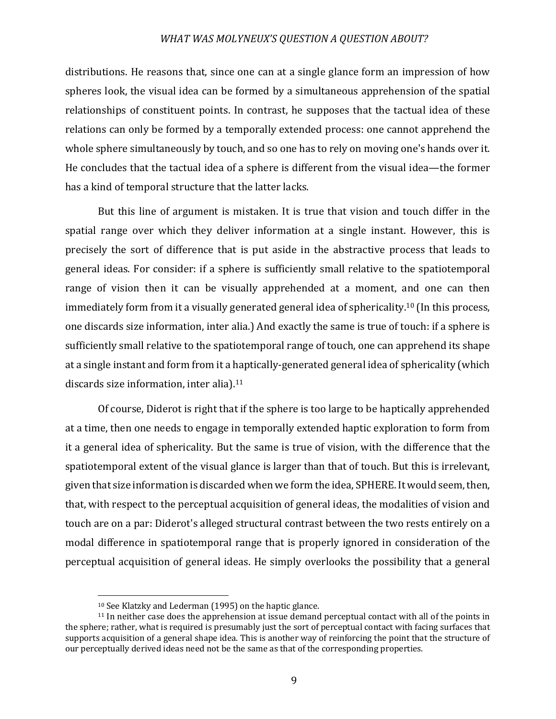distributions. He reasons that, since one can at a single glance form an impression of how spheres look, the visual idea can be formed by a simultaneous apprehension of the spatial relationships of constituent points. In contrast, he supposes that the tactual idea of these relations can only be formed by a temporally extended process: one cannot apprehend the whole sphere simultaneously by touch, and so one has to rely on moving one's hands over it. He concludes that the tactual idea of a sphere is different from the visual idea—the former has a kind of temporal structure that the latter lacks.

But this line of argument is mistaken. It is true that vision and touch differ in the spatial range over which they deliver information at a single instant. However, this is precisely the sort of difference that is put aside in the abstractive process that leads to general ideas. For consider: if a sphere is sufficiently small relative to the spatiotemporal range of vision then it can be visually apprehended at a moment, and one can then immediately form from it a visually generated general idea of sphericality.<sup>10</sup> (In this process, one discards size information, inter alia.) And exactly the same is true of touch: if a sphere is sufficiently small relative to the spatiotemporal range of touch, one can apprehend its shape at a single instant and form from it a haptically-generated general idea of sphericality (which discards size information, inter alia). $11$ 

Of course, Diderot is right that if the sphere is too large to be haptically apprehended at a time, then one needs to engage in temporally extended haptic exploration to form from it a general idea of sphericality. But the same is true of vision, with the difference that the spatiotemporal extent of the visual glance is larger than that of touch. But this is irrelevant, given that size information is discarded when we form the idea, SPHERE. It would seem, then, that, with respect to the perceptual acquisition of general ideas, the modalities of vision and touch are on a par: Diderot's alleged structural contrast between the two rests entirely on a modal difference in spatiotemporal range that is properly ignored in consideration of the perceptual acquisition of general ideas. He simply overlooks the possibility that a general

 $10$  See Klatzky and Lederman  $(1995)$  on the haptic glance.

 $11$  In neither case does the apprehension at issue demand perceptual contact with all of the points in the sphere; rather, what is required is presumably just the sort of perceptual contact with facing surfaces that supports acquisition of a general shape idea. This is another way of reinforcing the point that the structure of our perceptually derived ideas need not be the same as that of the corresponding properties.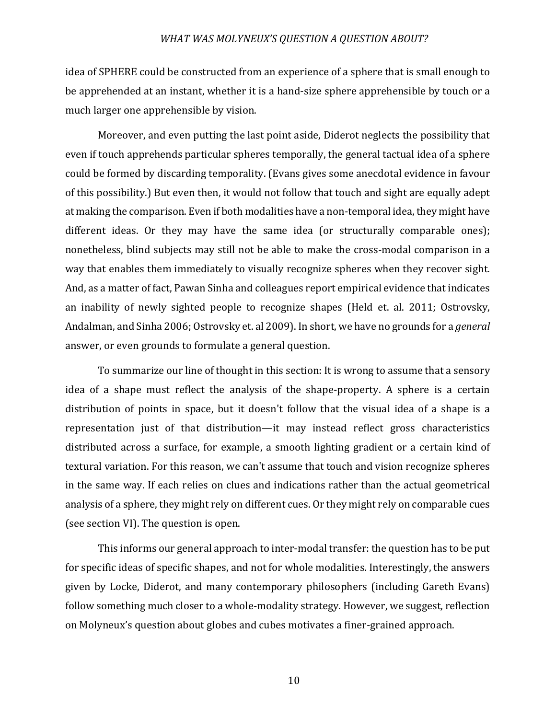idea of SPHERE could be constructed from an experience of a sphere that is small enough to be apprehended at an instant, whether it is a hand-size sphere apprehensible by touch or a much larger one apprehensible by vision.

Moreover, and even putting the last point aside, Diderot neglects the possibility that even if touch apprehends particular spheres temporally, the general tactual idea of a sphere could be formed by discarding temporality. (Evans gives some anecdotal evidence in favour of this possibility.) But even then, it would not follow that touch and sight are equally adept at making the comparison. Even if both modalities have a non-temporal idea, they might have different ideas. Or they may have the same idea (or structurally comparable ones); nonetheless, blind subjects may still not be able to make the cross-modal comparison in a way that enables them immediately to visually recognize spheres when they recover sight. And, as a matter of fact, Pawan Sinha and colleagues report empirical evidence that indicates an inability of newly sighted people to recognize shapes (Held et. al. 2011; Ostrovsky, Andalman, and Sinha 2006; Ostrovsky et. al 2009). In short, we have no grounds for a *general* answer, or even grounds to formulate a general question.

To summarize our line of thought in this section: It is wrong to assume that a sensory idea of a shape must reflect the analysis of the shape-property. A sphere is a certain distribution of points in space, but it doesn't follow that the visual idea of a shape is a representation just of that distribution—it may instead reflect gross characteristics distributed across a surface, for example, a smooth lighting gradient or a certain kind of textural variation. For this reason, we can't assume that touch and vision recognize spheres in the same way. If each relies on clues and indications rather than the actual geometrical analysis of a sphere, they might rely on different cues. Or they might rely on comparable cues (see section VI). The question is open.

This informs our general approach to inter-modal transfer: the question has to be put for specific ideas of specific shapes, and not for whole modalities. Interestingly, the answers given by Locke, Diderot, and many contemporary philosophers (including Gareth Evans) follow something much closer to a whole-modality strategy. However, we suggest, reflection on Molyneux's question about globes and cubes motivates a finer-grained approach.

10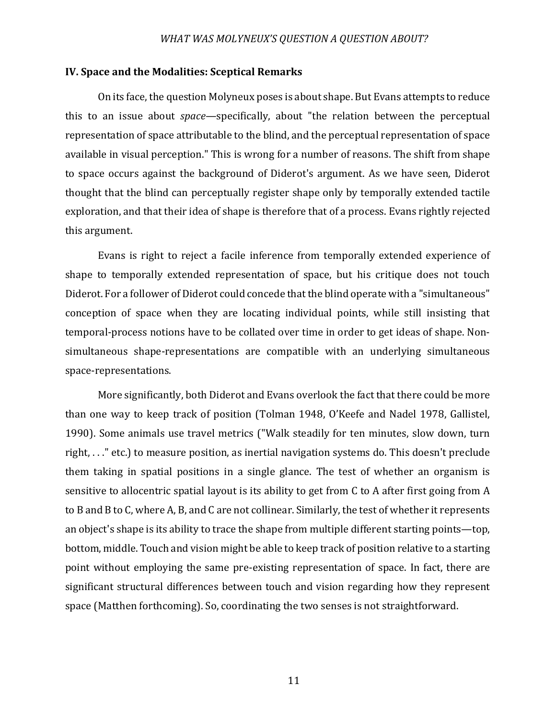## **IV.** Space and the Modalities: Sceptical Remarks

On its face, the question Molyneux poses is about shape. But Evans attempts to reduce this to an issue about *space*—specifically, about "the relation between the perceptual representation of space attributable to the blind, and the perceptual representation of space available in visual perception." This is wrong for a number of reasons. The shift from shape to space occurs against the background of Diderot's argument. As we have seen, Diderot thought that the blind can perceptually register shape only by temporally extended tactile exploration, and that their idea of shape is therefore that of a process. Evans rightly rejected this argument.

Evans is right to reject a facile inference from temporally extended experience of shape to temporally extended representation of space, but his critique does not touch Diderot. For a follower of Diderot could concede that the blind operate with a "simultaneous" conception of space when they are locating individual points, while still insisting that temporal-process notions have to be collated over time in order to get ideas of shape. Nonsimultaneous shape-representations are compatible with an underlying simultaneous space-representations. 

More significantly, both Diderot and Evans overlook the fact that there could be more than one way to keep track of position (Tolman 1948, O'Keefe and Nadel 1978, Gallistel, 1990). Some animals use travel metrics ("Walk steadily for ten minutes, slow down, turn right,  $\dots$ " etc.) to measure position, as inertial navigation systems do. This doesn't preclude them taking in spatial positions in a single glance. The test of whether an organism is sensitive to allocentric spatial layout is its ability to get from C to A after first going from A to B and B to C, where A, B, and C are not collinear. Similarly, the test of whether it represents an object's shape is its ability to trace the shape from multiple different starting points—top, bottom, middle. Touch and vision might be able to keep track of position relative to a starting point without employing the same pre-existing representation of space. In fact, there are significant structural differences between touch and vision regarding how they represent space (Matthen forthcoming). So, coordinating the two senses is not straightforward.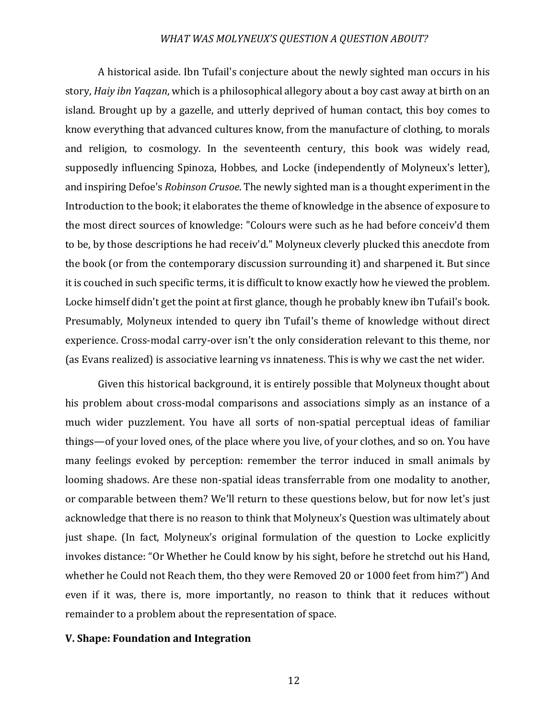A historical aside. Ibn Tufail's conjecture about the newly sighted man occurs in his story, *Haiy ibn Yaqzan*, which is a philosophical allegory about a boy cast away at birth on an island. Brought up by a gazelle, and utterly deprived of human contact, this boy comes to know everything that advanced cultures know, from the manufacture of clothing, to morals and religion, to cosmology. In the seventeenth century, this book was widely read, supposedly influencing Spinoza, Hobbes, and Locke (independently of Molyneux's letter), and inspiring Defoe's *Robinson Crusoe*. The newly sighted man is a thought experiment in the Introduction to the book; it elaborates the theme of knowledge in the absence of exposure to the most direct sources of knowledge: "Colours were such as he had before conceiv'd them to be, by those descriptions he had receiv'd." Molyneux cleverly plucked this anecdote from the book (or from the contemporary discussion surrounding it) and sharpened it. But since it is couched in such specific terms, it is difficult to know exactly how he viewed the problem. Locke himself didn't get the point at first glance, though he probably knew ibn Tufail's book. Presumably, Molyneux intended to query ibn Tufail's theme of knowledge without direct experience. Cross-modal carry-over isn't the only consideration relevant to this theme, nor (as Evans realized) is associative learning vs innateness. This is why we cast the net wider.

Given this historical background, it is entirely possible that Molyneux thought about his problem about cross-modal comparisons and associations simply as an instance of a much wider puzzlement. You have all sorts of non-spatial perceptual ideas of familiar things—of your loved ones, of the place where you live, of your clothes, and so on. You have many feelings evoked by perception: remember the terror induced in small animals by looming shadows. Are these non-spatial ideas transferrable from one modality to another, or comparable between them? We'll return to these questions below, but for now let's just acknowledge that there is no reason to think that Molyneux's Question was ultimately about just shape. (In fact, Molyneux's original formulation of the question to Locke explicitly invokes distance: "Or Whether he Could know by his sight, before he stretchd out his Hand, whether he Could not Reach them, tho they were Removed 20 or 1000 feet from him?") And even if it was, there is, more importantly, no reason to think that it reduces without remainder to a problem about the representation of space.

## **V. Shape: Foundation and Integration**

12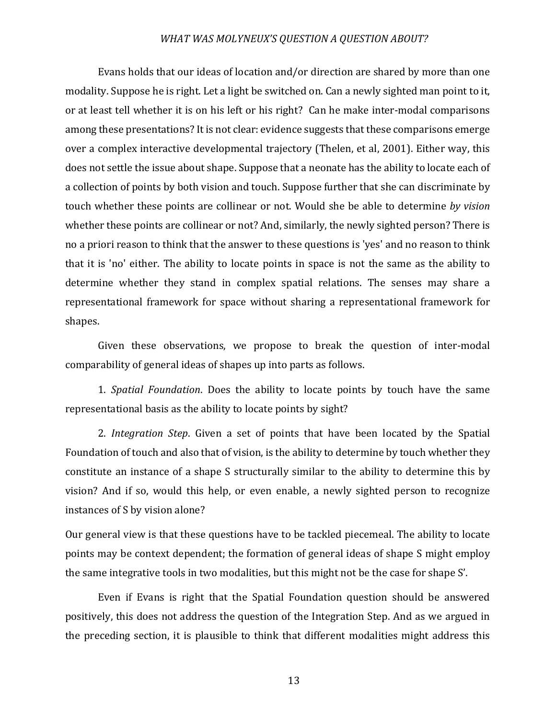Evans holds that our ideas of location and/or direction are shared by more than one modality. Suppose he is right. Let a light be switched on. Can a newly sighted man point to it, or at least tell whether it is on his left or his right? Can he make inter-modal comparisons among these presentations? It is not clear: evidence suggests that these comparisons emerge over a complex interactive developmental trajectory (Thelen, et al, 2001). Either way, this does not settle the issue about shape. Suppose that a neonate has the ability to locate each of a collection of points by both vision and touch. Suppose further that she can discriminate by touch whether these points are collinear or not. Would she be able to determine by vision whether these points are collinear or not? And, similarly, the newly sighted person? There is no a priori reason to think that the answer to these questions is 'yes' and no reason to think that it is 'no' either. The ability to locate points in space is not the same as the ability to determine whether they stand in complex spatial relations. The senses may share a representational framework for space without sharing a representational framework for shapes.

Given these observations, we propose to break the question of inter-modal comparability of general ideas of shapes up into parts as follows.

1. *Spatial Foundation*. Does the ability to locate points by touch have the same representational basis as the ability to locate points by sight?

2. *Integration Step*. Given a set of points that have been located by the Spatial Foundation of touch and also that of vision, is the ability to determine by touch whether they constitute an instance of a shape S structurally similar to the ability to determine this by vision? And if so, would this help, or even enable, a newly sighted person to recognize instances of S by vision alone?

Our general view is that these questions have to be tackled piecemeal. The ability to locate points may be context dependent; the formation of general ideas of shape S might employ the same integrative tools in two modalities, but this might not be the case for shape S'.

Even if Evans is right that the Spatial Foundation question should be answered positively, this does not address the question of the Integration Step. And as we argued in the preceding section, it is plausible to think that different modalities might address this

13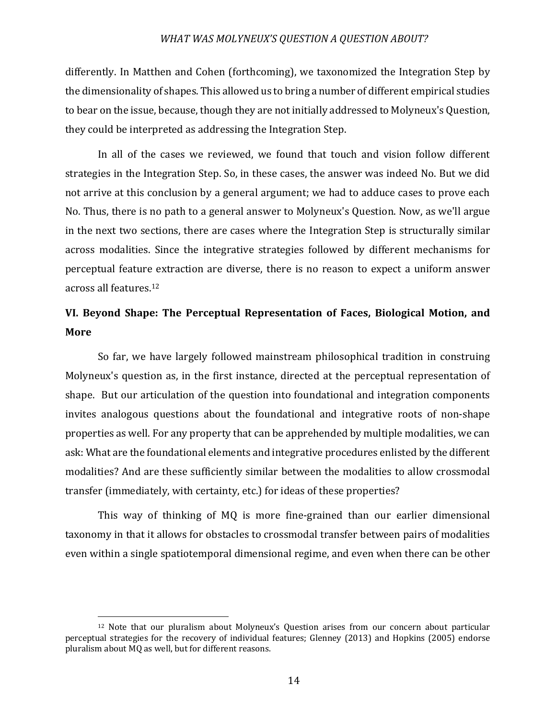differently. In Matthen and Cohen (forthcoming), we taxonomized the Integration Step by the dimensionality of shapes. This allowed us to bring a number of different empirical studies to bear on the issue, because, though they are not initially addressed to Molyneux's Question, they could be interpreted as addressing the Integration Step.

In all of the cases we reviewed, we found that touch and vision follow different strategies in the Integration Step. So, in these cases, the answer was indeed No. But we did not arrive at this conclusion by a general argument; we had to adduce cases to prove each No. Thus, there is no path to a general answer to Molyneux's Question. Now, as we'll argue in the next two sections, there are cases where the Integration Step is structurally similar across modalities. Since the integrative strategies followed by different mechanisms for perceptual feature extraction are diverse, there is no reason to expect a uniform answer across all features.<sup>12</sup>

# VI. Beyond Shape: The Perceptual Representation of Faces, Biological Motion, and **More**

So far, we have largely followed mainstream philosophical tradition in construing Molyneux's question as, in the first instance, directed at the perceptual representation of shape. But our articulation of the question into foundational and integration components invites analogous questions about the foundational and integrative roots of non-shape properties as well. For any property that can be apprehended by multiple modalities, we can ask: What are the foundational elements and integrative procedures enlisted by the different modalities? And are these sufficiently similar between the modalities to allow crossmodal transfer (immediately, with certainty, etc.) for ideas of these properties?

This way of thinking of MQ is more fine-grained than our earlier dimensional taxonomy in that it allows for obstacles to crossmodal transfer between pairs of modalities even within a single spatiotemporal dimensional regime, and even when there can be other

<sup>&</sup>lt;sup>12</sup> Note that our pluralism about Molyneux's Question arises from our concern about particular perceptual strategies for the recovery of individual features; Glenney (2013) and Hopkins (2005) endorse pluralism about  $\overline{MQ}$  as well, but for different reasons.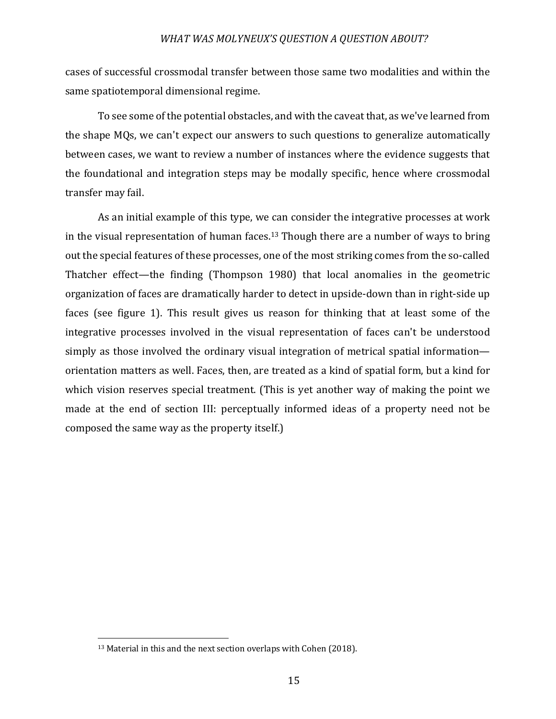cases of successful crossmodal transfer between those same two modalities and within the same spatiotemporal dimensional regime.

To see some of the potential obstacles, and with the caveat that, as we've learned from the shape MQs, we can't expect our answers to such questions to generalize automatically between cases, we want to review a number of instances where the evidence suggests that the foundational and integration steps may be modally specific, hence where crossmodal transfer may fail.

As an initial example of this type, we can consider the integrative processes at work in the visual representation of human faces.<sup>13</sup> Though there are a number of ways to bring out the special features of these processes, one of the most striking comes from the so-called Thatcher effect—the finding (Thompson 1980) that local anomalies in the geometric organization of faces are dramatically harder to detect in upside-down than in right-side up faces (see figure 1). This result gives us reason for thinking that at least some of the integrative processes involved in the visual representation of faces can't be understood simply as those involved the ordinary visual integration of metrical spatial information orientation matters as well. Faces, then, are treated as a kind of spatial form, but a kind for which vision reserves special treatment. (This is yet another way of making the point we made at the end of section III: perceptually informed ideas of a property need not be composed the same way as the property itself.)

 $13$  Material in this and the next section overlaps with Cohen (2018).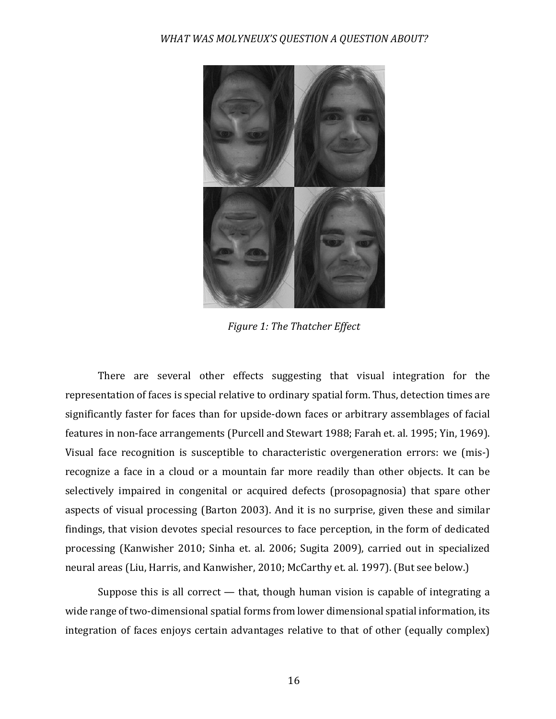

**Figure 1: The Thatcher Effect** 

There are several other effects suggesting that visual integration for the representation of faces is special relative to ordinary spatial form. Thus, detection times are significantly faster for faces than for upside-down faces or arbitrary assemblages of facial features in non-face arrangements (Purcell and Stewart 1988; Farah et. al. 1995; Yin, 1969). Visual face recognition is susceptible to characteristic overgeneration errors: we (mis-) recognize a face in a cloud or a mountain far more readily than other objects. It can be selectively impaired in congenital or acquired defects (prosopagnosia) that spare other aspects of visual processing (Barton 2003). And it is no surprise, given these and similar findings, that vision devotes special resources to face perception, in the form of dedicated processing (Kanwisher 2010; Sinha et. al. 2006; Sugita 2009), carried out in specialized neural areas (Liu, Harris, and Kanwisher, 2010; McCarthy et. al. 1997). (But see below.)

Suppose this is all correct  $-$  that, though human vision is capable of integrating a wide range of two-dimensional spatial forms from lower dimensional spatial information, its integration of faces enjoys certain advantages relative to that of other (equally complex)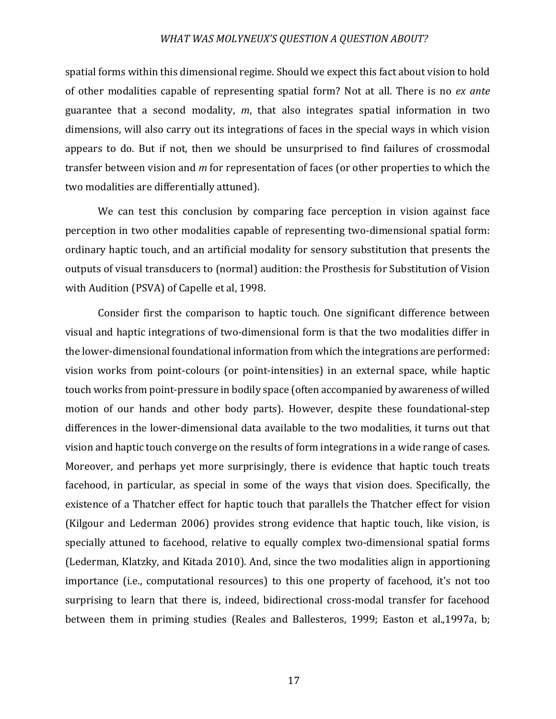spatial forms within this dimensional regime. Should we expect this fact about vision to hold of other modalities capable of representing spatial form? Not at all. There is no *ex ante* guarantee that a second modality, *m*, that also integrates spatial information in two dimensions, will also carry out its integrations of faces in the special ways in which vision appears to do. But if not, then we should be unsurprised to find failures of crossmodal transfer between vision and *m* for representation of faces (or other properties to which the two modalities are differentially attuned).

We can test this conclusion by comparing face perception in vision against face perception in two other modalities capable of representing two-dimensional spatial form: ordinary haptic touch, and an artificial modality for sensory substitution that presents the outputs of visual transducers to (normal) audition: the Prosthesis for Substitution of Vision with Audition (PSVA) of Capelle et al, 1998.

Consider first the comparison to haptic touch. One significant difference between visual and haptic integrations of two-dimensional form is that the two modalities differ in the lower-dimensional foundational information from which the integrations are performed: vision works from point-colours (or point-intensities) in an external space, while haptic touch works from point-pressure in bodily space (often accompanied by awareness of willed motion of our hands and other body parts). However, despite these foundational-step differences in the lower-dimensional data available to the two modalities, it turns out that vision and haptic touch converge on the results of form integrations in a wide range of cases. Moreover, and perhaps yet more surprisingly, there is evidence that haptic touch treats facehood, in particular, as special in some of the ways that vision does. Specifically, the existence of a Thatcher effect for haptic touch that parallels the Thatcher effect for vision (Kilgour and Lederman 2006) provides strong evidence that haptic touch, like vision, is specially attuned to facehood, relative to equally complex two-dimensional spatial forms (Lederman, Klatzky, and Kitada 2010). And, since the two modalities align in apportioning importance (i.e., computational resources) to this one property of facehood, it's not too surprising to learn that there is, indeed, bidirectional cross-modal transfer for facehood between them in priming studies (Reales and Ballesteros, 1999; Easton et al.,1997a, b;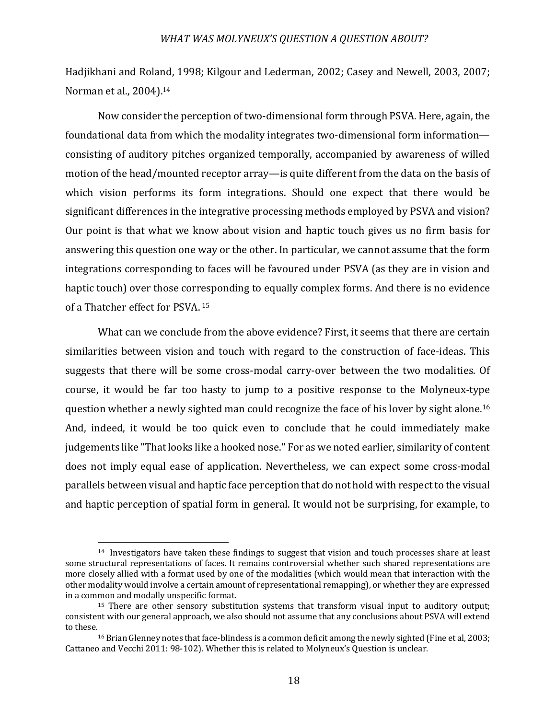Hadjikhani and Roland, 1998; Kilgour and Lederman, 2002; Casey and Newell, 2003, 2007; Norman et al., 2004).<sup>14</sup>

Now consider the perception of two-dimensional form through PSVA. Here, again, the foundational data from which the modality integrates two-dimensional form information consisting of auditory pitches organized temporally, accompanied by awareness of willed motion of the head/mounted receptor array—is quite different from the data on the basis of which vision performs its form integrations. Should one expect that there would be significant differences in the integrative processing methods employed by PSVA and vision? Our point is that what we know about vision and haptic touch gives us no firm basis for answering this question one way or the other. In particular, we cannot assume that the form integrations corresponding to faces will be favoured under PSVA (as they are in vision and haptic touch) over those corresponding to equally complex forms. And there is no evidence of a Thatcher effect for PSVA. <sup>15</sup>

What can we conclude from the above evidence? First, it seems that there are certain similarities between vision and touch with regard to the construction of face-ideas. This suggests that there will be some cross-modal carry-over between the two modalities. Of course, it would be far too hasty to jump to a positive response to the Molyneux-type question whether a newly sighted man could recognize the face of his lover by sight alone.<sup>16</sup> And, indeed, it would be too quick even to conclude that he could immediately make judgements like "That looks like a hooked nose." For as we noted earlier, similarity of content does not imply equal ease of application. Nevertheless, we can expect some cross-modal parallels between visual and haptic face perception that do not hold with respect to the visual and haptic perception of spatial form in general. It would not be surprising, for example, to

 $14$  Investigators have taken these findings to suggest that vision and touch processes share at least some structural representations of faces. It remains controversial whether such shared representations are more closely allied with a format used by one of the modalities (which would mean that interaction with the other modality would involve a certain amount of representational remapping), or whether they are expressed in a common and modally unspecific format.

 $15$  There are other sensory substitution systems that transform visual input to auditory output; consistent with our general approach, we also should not assume that any conclusions about PSVA will extend to these.<br><sup>16</sup> Brian Glenney notes that face-blindess is a common deficit among the newly sighted (Fine et al, 2003;

Cattaneo and Vecchi 2011: 98-102). Whether this is related to Molyneux's Question is unclear.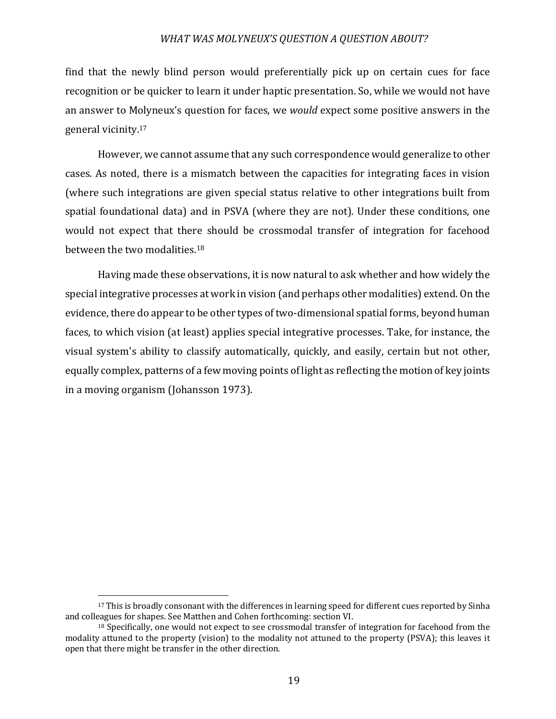find that the newly blind person would preferentially pick up on certain cues for face recognition or be quicker to learn it under haptic presentation. So, while we would not have an answer to Molyneux's question for faces, we *would* expect some positive answers in the general vicinity.<sup>17</sup>

However, we cannot assume that any such correspondence would generalize to other cases. As noted, there is a mismatch between the capacities for integrating faces in vision (where such integrations are given special status relative to other integrations built from spatial foundational data) and in PSVA (where they are not). Under these conditions, one would not expect that there should be crossmodal transfer of integration for facehood between the two modalities. $18$ 

Having made these observations, it is now natural to ask whether and how widely the special integrative processes at work in vision (and perhaps other modalities) extend. On the evidence, there do appear to be other types of two-dimensional spatial forms, beyond human faces, to which vision (at least) applies special integrative processes. Take, for instance, the visual system's ability to classify automatically, quickly, and easily, certain but not other, equally complex, patterns of a few moving points of light as reflecting the motion of key joints in a moving organism (Johansson 1973).

<sup>&</sup>lt;sup>17</sup> This is broadly consonant with the differences in learning speed for different cues reported by Sinha and colleagues for shapes. See Matthen and Cohen forthcoming: section VI.

<sup>&</sup>lt;sup>18</sup> Specifically, one would not expect to see crossmodal transfer of integration for facehood from the modality attuned to the property (vision) to the modality not attuned to the property (PSVA); this leaves it open that there might be transfer in the other direction.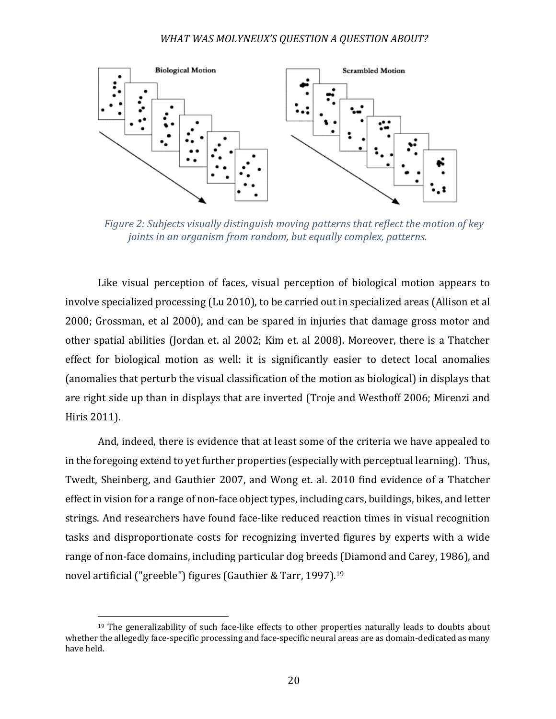

*Figure 2: Subjects visually distinguish moving patterns that reflect the motion of key joints in an organism from random, but equally complex, patterns.* 

Like visual perception of faces, visual perception of biological motion appears to involve specialized processing (Lu 2010), to be carried out in specialized areas (Allison et al 2000; Grossman, et al 2000), and can be spared in injuries that damage gross motor and other spatial abilities (Jordan et. al 2002; Kim et. al 2008). Moreover, there is a Thatcher effect for biological motion as well: it is significantly easier to detect local anomalies (anomalies that perturb the visual classification of the motion as biological) in displays that are right side up than in displays that are inverted (Troje and Westhoff 2006; Mirenzi and Hiris 2011).

And, indeed, there is evidence that at least some of the criteria we have appealed to in the foregoing extend to yet further properties (especially with perceptual learning). Thus, Twedt, Sheinberg, and Gauthier 2007, and Wong et. al. 2010 find evidence of a Thatcher effect in vision for a range of non-face object types, including cars, buildings, bikes, and letter strings. And researchers have found face-like reduced reaction times in visual recognition tasks and disproportionate costs for recognizing inverted figures by experts with a wide range of non-face domains, including particular dog breeds (Diamond and Carey, 1986), and novel artificial ("greeble") figures (Gauthier & Tarr, 1997).<sup>19</sup>

 $19$  The generalizability of such face-like effects to other properties naturally leads to doubts about whether the allegedly face-specific processing and face-specific neural areas are as domain-dedicated as many have held.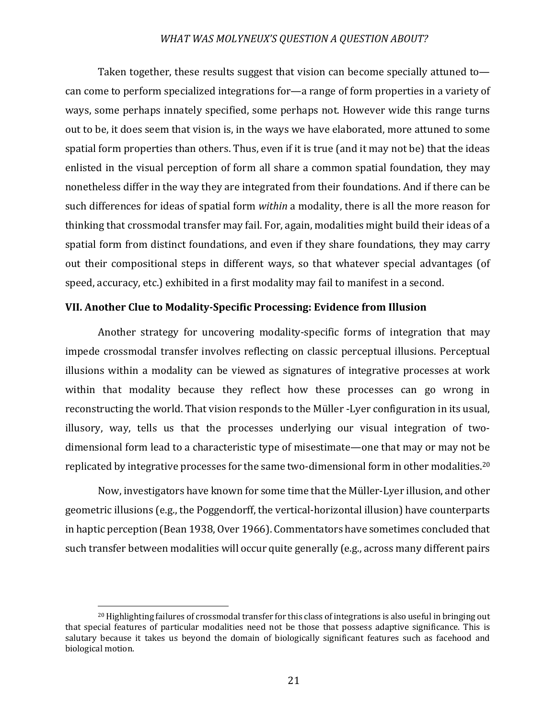Taken together, these results suggest that vision can become specially attuned tocan come to perform specialized integrations for—a range of form properties in a variety of ways, some perhaps innately specified, some perhaps not. However wide this range turns out to be, it does seem that vision is, in the ways we have elaborated, more attuned to some spatial form properties than others. Thus, even if it is true (and it may not be) that the ideas enlisted in the visual perception of form all share a common spatial foundation, they may nonetheless differ in the way they are integrated from their foundations. And if there can be such differences for ideas of spatial form *within* a modality, there is all the more reason for thinking that crossmodal transfer may fail. For, again, modalities might build their ideas of a spatial form from distinct foundations, and even if they share foundations, they may carry out their compositional steps in different ways, so that whatever special advantages (of speed, accuracy, etc.) exhibited in a first modality may fail to manifest in a second.

# **VII. Another Clue to Modality-Specific Processing: Evidence from Illusion**

Another strategy for uncovering modality-specific forms of integration that may impede crossmodal transfer involves reflecting on classic perceptual illusions. Perceptual illusions within a modality can be viewed as signatures of integrative processes at work within that modality because they reflect how these processes can go wrong in reconstructing the world. That vision responds to the Müller -Lyer configuration in its usual, illusory, way, tells us that the processes underlying our visual integration of twodimensional form lead to a characteristic type of misestimate—one that may or may not be replicated by integrative processes for the same two-dimensional form in other modalities.<sup>20</sup>

Now, investigators have known for some time that the Müller-Lyer illusion, and other geometric illusions (e.g., the Poggendorff, the vertical-horizontal illusion) have counterparts in haptic perception (Bean 1938, Over 1966). Commentators have sometimes concluded that such transfer between modalities will occur quite generally (e.g., across many different pairs

 $^{20}$  Highlighting failures of crossmodal transfer for this class of integrations is also useful in bringing out that special features of particular modalities need not be those that possess adaptive significance. This is salutary because it takes us beyond the domain of biologically significant features such as facehood and biological motion.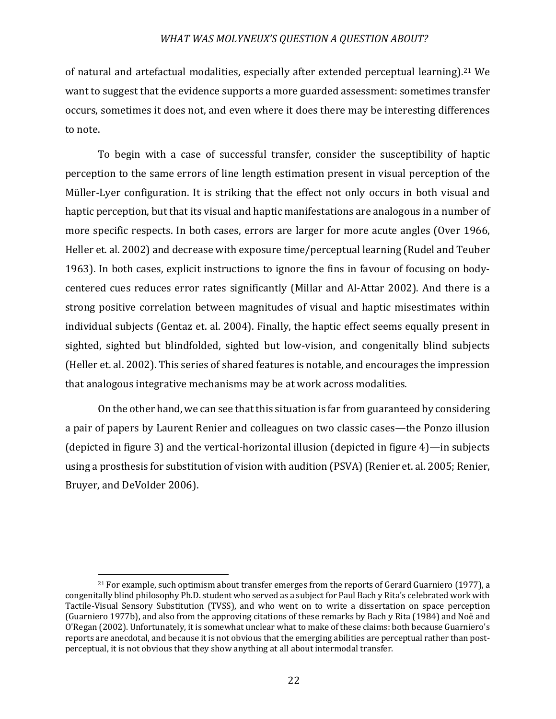of natural and artefactual modalities, especially after extended perceptual learning).<sup>21</sup> We want to suggest that the evidence supports a more guarded assessment: sometimes transfer occurs, sometimes it does not, and even where it does there may be interesting differences to note.

To begin with a case of successful transfer, consider the susceptibility of haptic perception to the same errors of line length estimation present in visual perception of the Müller-Lyer configuration. It is striking that the effect not only occurs in both visual and haptic perception, but that its visual and haptic manifestations are analogous in a number of more specific respects. In both cases, errors are larger for more acute angles (Over 1966, Heller et. al. 2002) and decrease with exposure time/perceptual learning (Rudel and Teuber 1963). In both cases, explicit instructions to ignore the fins in favour of focusing on bodycentered cues reduces error rates significantly (Millar and Al-Attar 2002). And there is a strong positive correlation between magnitudes of visual and haptic misestimates within individual subjects (Gentaz et. al. 2004). Finally, the haptic effect seems equally present in sighted, sighted but blindfolded, sighted but low-vision, and congenitally blind subjects (Heller et. al. 2002). This series of shared features is notable, and encourages the impression that analogous integrative mechanisms may be at work across modalities.

On the other hand, we can see that this situation is far from guaranteed by considering a pair of papers by Laurent Renier and colleagues on two classic cases—the Ponzo illusion (depicted in figure 3) and the vertical-horizontal illusion (depicted in figure  $4$ )—in subjects using a prosthesis for substitution of vision with audition (PSVA) (Renier et. al. 2005; Renier, Bruyer, and DeVolder 2006).

 $21$  For example, such optimism about transfer emerges from the reports of Gerard Guarniero (1977), a congenitally blind philosophy Ph.D. student who served as a subject for Paul Bach y Rita's celebrated work with Tactile-Visual Sensory Substitution (TVSS), and who went on to write a dissertation on space perception (Guarniero 1977b), and also from the approving citations of these remarks by Bach y Rita (1984) and Noë and O'Regan (2002). Unfortunately, it is somewhat unclear what to make of these claims: both because Guarniero's reports are anecdotal, and because it is not obvious that the emerging abilities are perceptual rather than postperceptual, it is not obvious that they show anything at all about intermodal transfer.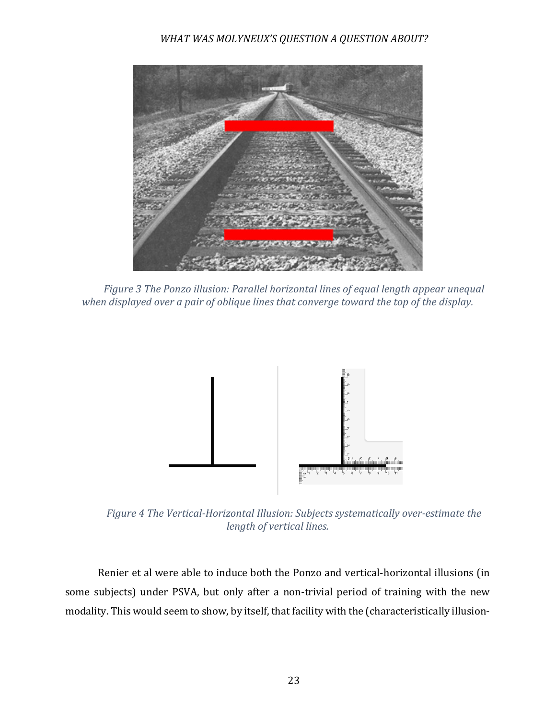

*Figure* 3 *The Ponzo illusion: Parallel horizontal lines of equal length appear unequal* when displayed over a pair of oblique lines that converge toward the top of the display.



*Figure 4 The Vertical-Horizontal Illusion: Subjects systematically over-estimate the length of vertical lines.*

Renier et al were able to induce both the Ponzo and vertical-horizontal illusions (in some subjects) under PSVA, but only after a non-trivial period of training with the new modality. This would seem to show, by itself, that facility with the (characteristically illusion-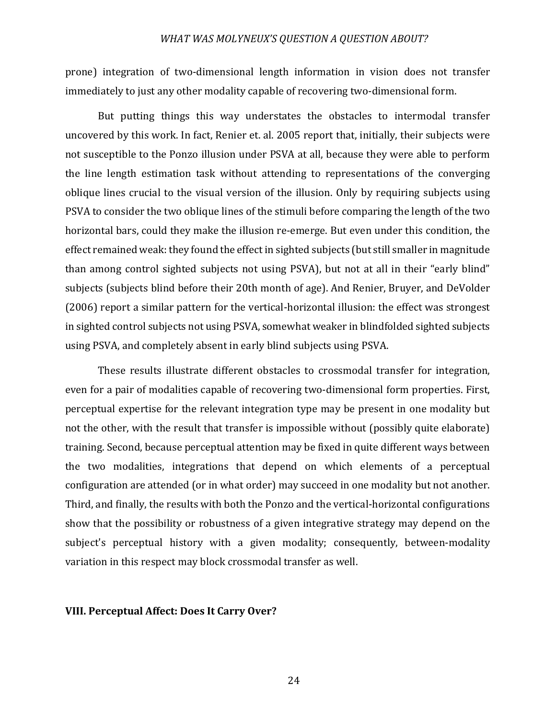prone) integration of two-dimensional length information in vision does not transfer immediately to just any other modality capable of recovering two-dimensional form.

But putting things this way understates the obstacles to intermodal transfer uncovered by this work. In fact, Renier et. al. 2005 report that, initially, their subjects were not susceptible to the Ponzo illusion under PSVA at all, because they were able to perform the line length estimation task without attending to representations of the converging oblique lines crucial to the visual version of the illusion. Only by requiring subjects using PSVA to consider the two oblique lines of the stimuli before comparing the length of the two horizontal bars, could they make the illusion re-emerge. But even under this condition, the effect remained weak: they found the effect in sighted subjects (but still smaller in magnitude than among control sighted subjects not using PSVA), but not at all in their "early blind" subjects (subjects blind before their 20th month of age). And Renier, Bruyer, and DeVolder (2006) report a similar pattern for the vertical-horizontal illusion: the effect was strongest in sighted control subjects not using PSVA, somewhat weaker in blindfolded sighted subjects using PSVA, and completely absent in early blind subjects using PSVA.

These results illustrate different obstacles to crossmodal transfer for integration, even for a pair of modalities capable of recovering two-dimensional form properties. First, perceptual expertise for the relevant integration type may be present in one modality but not the other, with the result that transfer is impossible without (possibly quite elaborate) training. Second, because perceptual attention may be fixed in quite different ways between the two modalities, integrations that depend on which elements of a perceptual configuration are attended (or in what order) may succeed in one modality but not another. Third, and finally, the results with both the Ponzo and the vertical-horizontal configurations show that the possibility or robustness of a given integrative strategy may depend on the subject's perceptual history with a given modality; consequently, between-modality variation in this respect may block crossmodal transfer as well.

#### **VIII. Perceptual Affect: Does It Carry Over?**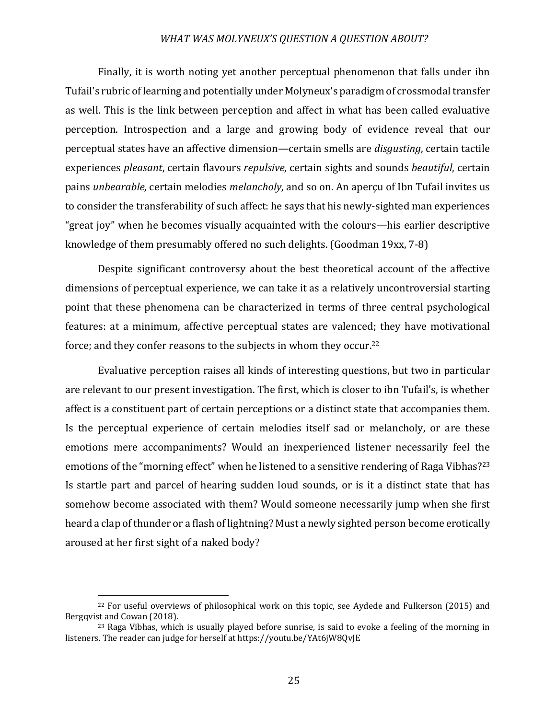Finally, it is worth noting yet another perceptual phenomenon that falls under ibn Tufail's rubric of learning and potentially under Molyneux's paradigm of crossmodal transfer as well. This is the link between perception and affect in what has been called evaluative perception. Introspection and a large and growing body of evidence reveal that our perceptual states have an affective dimension—certain smells are *disgusting*, certain tactile experiences *pleasant*, certain flavours *repulsive*, certain sights and sounds *beautiful*, certain pains *unbearable*, certain melodies *melancholy*, and so on. An aperçu of Ibn Tufail invites us to consider the transferability of such affect: he says that his newly-sighted man experiences "great joy" when he becomes visually acquainted with the colours—his earlier descriptive knowledge of them presumably offered no such delights. (Goodman 19xx,  $7-8$ )

Despite significant controversy about the best theoretical account of the affective dimensions of perceptual experience, we can take it as a relatively uncontroversial starting point that these phenomena can be characterized in terms of three central psychological features: at a minimum, affective perceptual states are valenced; they have motivational force; and they confer reasons to the subjects in whom they occur.<sup>22</sup>

Evaluative perception raises all kinds of interesting questions, but two in particular are relevant to our present investigation. The first, which is closer to ibn Tufail's, is whether affect is a constituent part of certain perceptions or a distinct state that accompanies them. Is the perceptual experience of certain melodies itself sad or melancholy, or are these emotions mere accompaniments? Would an inexperienced listener necessarily feel the emotions of the "morning effect" when he listened to a sensitive rendering of Raga Vibhas?<sup>23</sup> Is startle part and parcel of hearing sudden loud sounds, or is it a distinct state that has somehow become associated with them? Would someone necessarily jump when she first heard a clap of thunder or a flash of lightning? Must a newly sighted person become erotically aroused at her first sight of a naked body?

<sup>&</sup>lt;sup>22</sup> For useful overviews of philosophical work on this topic, see Aydede and Fulkerson (2015) and Bergqvist and Cowan (2018).

 $23$  Raga Vibhas, which is usually played before sunrise, is said to evoke a feeling of the morning in listeners. The reader can judge for herself at https://youtu.be/YAt6jW8OvJE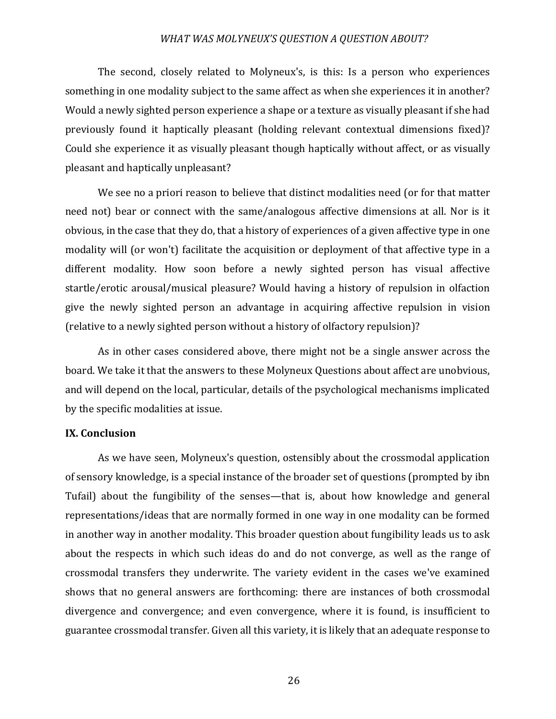The second, closely related to Molyneux's, is this: Is a person who experiences something in one modality subject to the same affect as when she experiences it in another? Would a newly sighted person experience a shape or a texture as visually pleasant if she had previously found it haptically pleasant (holding relevant contextual dimensions fixed)? Could she experience it as visually pleasant though haptically without affect, or as visually pleasant and haptically unpleasant?

We see no a priori reason to believe that distinct modalities need (or for that matter need not) bear or connect with the same/analogous affective dimensions at all. Nor is it obvious, in the case that they do, that a history of experiences of a given affective type in one modality will (or won't) facilitate the acquisition or deployment of that affective type in a different modality. How soon before a newly sighted person has visual affective startle/erotic arousal/musical pleasure? Would having a history of repulsion in olfaction give the newly sighted person an advantage in acquiring affective repulsion in vision (relative to a newly sighted person without a history of olfactory repulsion)?

As in other cases considered above, there might not be a single answer across the board. We take it that the answers to these Molyneux Questions about affect are unobvious, and will depend on the local, particular, details of the psychological mechanisms implicated by the specific modalities at issue.

#### **IX.** Conclusion

As we have seen, Molyneux's question, ostensibly about the crossmodal application of sensory knowledge, is a special instance of the broader set of questions (prompted by ibn Tufail) about the fungibility of the senses—that is, about how knowledge and general representations/ideas that are normally formed in one way in one modality can be formed in another way in another modality. This broader question about fungibility leads us to ask about the respects in which such ideas do and do not converge, as well as the range of crossmodal transfers they underwrite. The variety evident in the cases we've examined shows that no general answers are forthcoming: there are instances of both crossmodal divergence and convergence; and even convergence, where it is found, is insufficient to guarantee crossmodal transfer. Given all this variety, it is likely that an adequate response to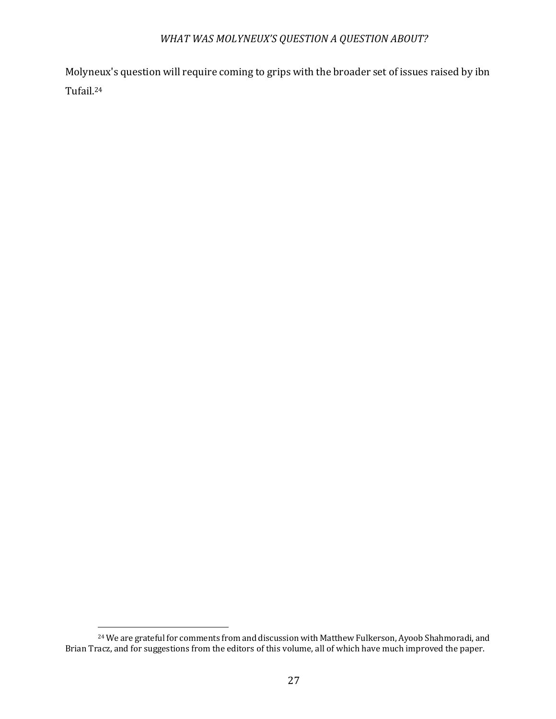Molyneux's question will require coming to grips with the broader set of issues raised by ibn Tufail.24

<sup>&</sup>lt;sup>24</sup> We are grateful for comments from and discussion with Matthew Fulkerson, Ayoob Shahmoradi, and Brian Tracz, and for suggestions from the editors of this volume, all of which have much improved the paper.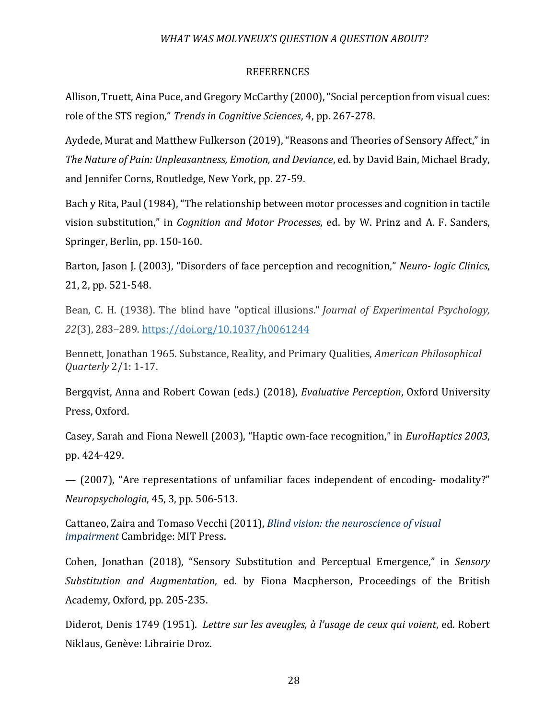## REFERENCES

Allison, Truett, Aina Puce, and Gregory McCarthy (2000), "Social perception from visual cues: role of the STS region," *Trends in Cognitive Sciences*, 4, pp. 267-278.

Aydede, Murat and Matthew Fulkerson (2019), "Reasons and Theories of Sensory Affect," in *The Nature of Pain: Unpleasantness, Emotion, and Deviance, ed. by David Bain, Michael Brady,* and Jennifer Corns, Routledge, New York, pp. 27-59.

Bach y Rita, Paul (1984), "The relationship between motor processes and cognition in tactile vision substitution," in *Cognition and Motor Processes*, ed. by W. Prinz and A. F. Sanders, Springer, Berlin, pp. 150-160.

Barton, Jason J. (2003), "Disorders of face perception and recognition," *Neuro- logic Clinics*, 21, 2, pp. 521-548.

Bean, C. H. (1938). The blind have "optical illusions." *Journal of Experimental Psychology*, *22*(3), 283–289. https://doi.org/10.1037/h0061244

Bennett, Jonathan 1965. Substance, Reality, and Primary Qualities, *American Philosophical Quarterly* 2/1: 1-17.

Bergqvist, Anna and Robert Cowan (eds.) (2018), *Evaluative Perception*, Oxford University Press, Oxford.

Casey, Sarah and Fiona Newell (2003), "Haptic own-face recognition," in *EuroHaptics 2003*, pp. 424-429. 

 $-$  (2007), "Are representations of unfamiliar faces independent of encoding- modality?" *Neuropsychologia*, 45, 3, pp. 506-513. 

Cattaneo, Zaira and Tomaso Vecchi (2011), *Blind vision: the neuroscience of visual impairment* Cambridge: MIT Press.

Cohen, Jonathan (2018), "Sensory Substitution and Perceptual Emergence," in *Sensory Substitution and Augmentation*, ed. by Fiona Macpherson, Proceedings of the British Academy, Oxford, pp. 205-235.

Diderot, Denis 1749 (1951). Lettre sur les aveugles, à l'usage de ceux qui voient, ed. Robert Niklaus, Genève: Librairie Droz.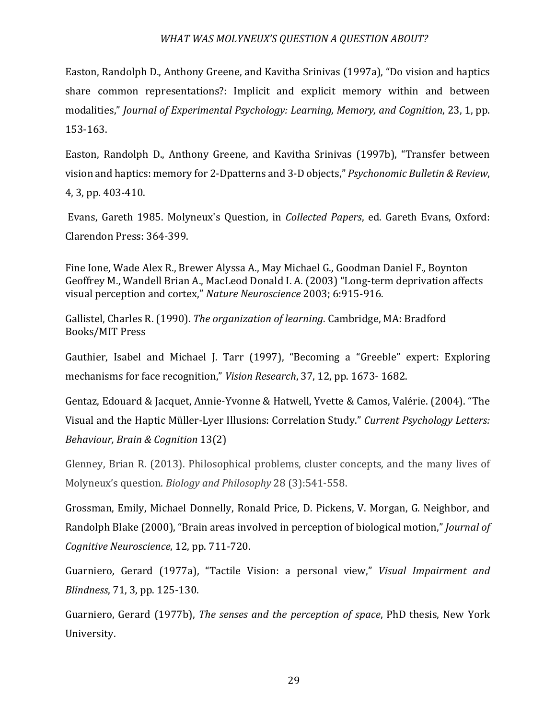Easton, Randolph D., Anthony Greene, and Kavitha Srinivas (1997a), "Do vision and haptics share common representations?: Implicit and explicit memory within and between modalities," *Journal of Experimental Psychology: Learning, Memory, and Cognition, 23, 1, pp.* 153-163. 

Easton, Randolph D., Anthony Greene, and Kavitha Srinivas (1997b), "Transfer between vision and haptics: memory for 2-Dpatterns and 3-D objects," *Psychonomic Bulletin & Review*, 4, 3, pp. 403-410.

Evans, Gareth 1985. Molyneux's Question, in *Collected Papers*, ed. Gareth Evans, Oxford: Clarendon Press: 364-399.

Fine Ione, Wade Alex R., Brewer Alyssa A., May Michael G., Goodman Daniel F., Boynton Geoffrey M., Wandell Brian A., MacLeod Donald I. A. (2003) "Long-term deprivation affects visual perception and cortex," Nature Neuroscience 2003; 6:915-916.

Gallistel, Charles R. (1990). *The organization of learning*. Cambridge, MA: Bradford Books/MIT Press

Gauthier, Isabel and Michael J. Tarr (1997), "Becoming a "Greeble" expert: Exploring mechanisms for face recognition," *Vision Research*, 37, 12, pp. 1673-1682.

Gentaz, Edouard & Jacquet, Annie-Yvonne & Hatwell, Yvette & Camos, Valérie. (2004). "The Visual and the Haptic Müller-Lyer Illusions: Correlation Study." *Current Psychology Letters: Behaviour, Brain & Cognition* 13(2)

Glenney, Brian R. (2013). Philosophical problems, cluster concepts, and the many lives of Molyneux's question. *Biology and Philosophy* 28 (3):541-558.

Grossman, Emily, Michael Donnelly, Ronald Price, D. Pickens, V. Morgan, G. Neighbor, and Randolph Blake (2000), "Brain areas involved in perception of biological motion," *Journal of Cognitive Neuroscience*, 12, pp. 711-720. 

Guarniero, Gerard (1977a), "Tactile Vision: a personal view," Visual Impairment and *Blindness*, 71, 3, pp. 125-130.

Guarniero, Gerard (1977b), *The senses and the perception of space*, PhD thesis, New York University.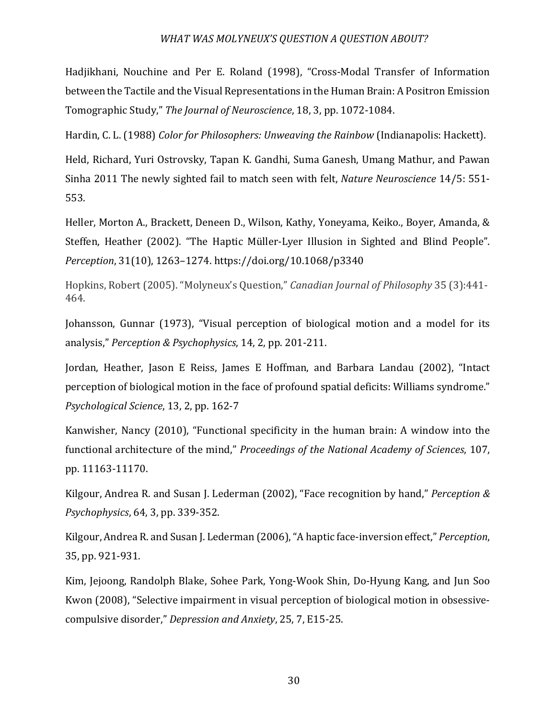Hadjikhani, Nouchine and Per E. Roland (1998), "Cross-Modal Transfer of Information between the Tactile and the Visual Representations in the Human Brain: A Positron Emission Tomographic Study," The Journal of Neuroscience, 18, 3, pp. 1072-1084.

Hardin, C. L. (1988) *Color for Philosophers: Unweaving the Rainbow* (Indianapolis: Hackett).

Held, Richard, Yuri Ostrovsky, Tapan K. Gandhi, Suma Ganesh, Umang Mathur, and Pawan Sinha 2011 The newly sighted fail to match seen with felt, *Nature Neuroscience* 14/5: 551-553.

Heller, Morton A., Brackett, Deneen D., Wilson, Kathy, Yoneyama, Keiko., Boyer, Amanda, & Steffen, Heather (2002). "The Haptic Müller-Lyer Illusion in Sighted and Blind People". *Perception*, 31(10), 1263-1274. https://doi.org/10.1068/p3340

Hopkins. Robert (2005). "Molyneux's Question," *Canadian Journal of Philosophy* 35 (3):441-464.

Johansson, Gunnar (1973), "Visual perception of biological motion and a model for its analysis," *Perception & Psychophysics*, 14, 2, pp. 201-211. 

Jordan, Heather, Jason E Reiss, James E Hoffman, and Barbara Landau (2002), "Intact perception of biological motion in the face of profound spatial deficits: Williams syndrome." *Psychological Science*, 13, 2, pp. 162-7

Kanwisher, Nancy (2010), "Functional specificity in the human brain: A window into the functional architecture of the mind," *Proceedings of the National Academy of Sciences*, 107, pp. 11163-11170.

Kilgour, Andrea R. and Susan J. Lederman (2002), "Face recognition by hand," *Perception & Psychophysics*, 64, 3, pp. 339-352.

Kilgour, Andrea R. and Susan J. Lederman (2006), "A haptic face-inversion effect," *Perception*, 35, pp. 921-931.

Kim, Jejoong, Randolph Blake, Sohee Park, Yong-Wook Shin, Do-Hyung Kang, and Jun Soo Kwon (2008), "Selective impairment in visual perception of biological motion in obsessivecompulsive disorder," *Depression and Anxiety*, 25, 7, E15-25.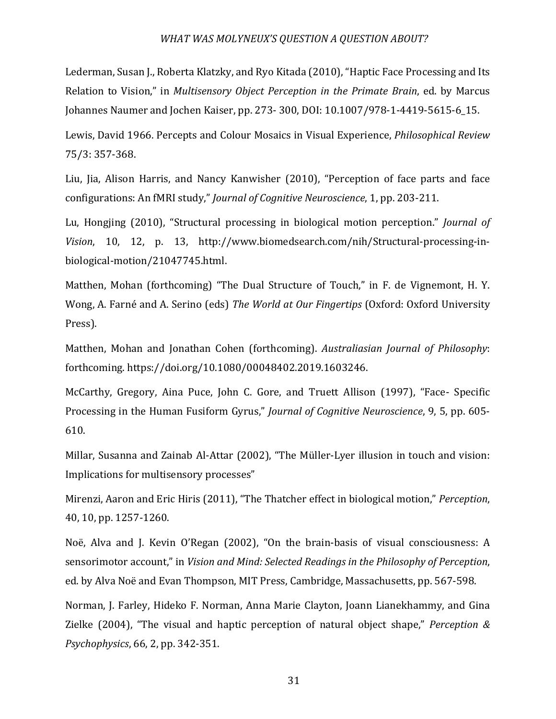Lederman, Susan J., Roberta Klatzky, and Ryo Kitada (2010), "Haptic Face Processing and Its Relation to Vision," in *Multisensory Object Perception in the Primate Brain*, ed. by Marcus Johannes Naumer and Jochen Kaiser, pp. 273- 300, DOI: 10.1007/978-1-4419-5615-6\_15.

Lewis, David 1966. Percepts and Colour Mosaics in Visual Experience, *Philosophical Review* 75/3: 357-368.

Liu, Jia, Alison Harris, and Nancy Kanwisher (2010), "Perception of face parts and face configurations: An fMRI study," *Journal of Cognitive Neuroscience*, 1, pp. 203-211. 

Lu, Hongjing (2010), "Structural processing in biological motion perception." *Journal of Vision*, 10, 12, p. 13, http://www.biomedsearch.com/nih/Structural-processing-inbiological-motion/21047745.html. 

Matthen, Mohan (forthcoming) "The Dual Structure of Touch," in F. de Vignemont, H. Y. Wong, A. Farné and A. Serino (eds) *The World at Our Fingertips* (Oxford: Oxford University Press).

Matthen, Mohan and Jonathan Cohen (forthcoming). Australiasian Journal of Philosophy: forthcoming. https://doi.org/10.1080/00048402.2019.1603246.

McCarthy, Gregory, Aina Puce, John C. Gore, and Truett Allison (1997), "Face- Specific Processing in the Human Fusiform Gyrus," *Journal of Cognitive Neuroscience*, 9, 5, pp. 605-610. 

Millar, Susanna and Zainab Al-Attar (2002), "The Müller-Lyer illusion in touch and vision: Implications for multisensory processes"

Mirenzi, Aaron and Eric Hiris (2011), "The Thatcher effect in biological motion," *Perception*, 40, 10, pp. 1257-1260. 

Noë, Alva and J. Kevin O'Regan (2002), "On the brain-basis of visual consciousness: A sensorimotor account," in Vision and Mind: Selected Readings in the Philosophy of Perception, ed. by Alva Noë and Evan Thompson, MIT Press, Cambridge, Massachusetts, pp. 567-598.

Norman, J. Farley, Hideko F. Norman, Anna Marie Clayton, Joann Lianekhammy, and Gina Zielke (2004), "The visual and haptic perception of natural object shape," *Perception & Psychophysics*, 66, 2, pp. 342-351.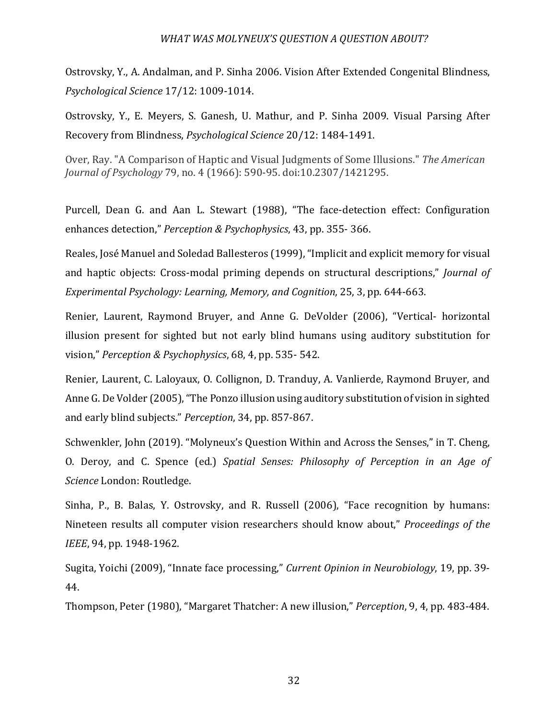Ostrovsky, Y., A. Andalman, and P. Sinha 2006. Vision After Extended Congenital Blindness, *Psychological Science* 17/12: 1009-1014.

Ostrovsky, Y., E. Meyers, S. Ganesh, U. Mathur, and P. Sinha 2009. Visual Parsing After Recovery from Blindness, *Psychological Science* 20/12: 1484-1491.

Over, Ray. "A Comparison of Haptic and Visual Judgments of Some Illusions." *The American Journal of Psychology* 79, no. 4 (1966): 590-95. doi:10.2307/1421295.

Purcell, Dean G. and Aan L. Stewart (1988), "The face-detection effect: Configuration enhances detection," *Perception & Psychophysics*, 43, pp. 355- 366.

Reales, José Manuel and Soledad Ballesteros (1999), "Implicit and explicit memory for visual and haptic objects: Cross-modal priming depends on structural descriptions," *Journal of Experimental Psychology: Learning, Memory, and Cognition, 25, 3, pp. 644-663.* 

Renier, Laurent, Raymond Bruyer, and Anne G. DeVolder (2006), "Vertical- horizontal illusion present for sighted but not early blind humans using auditory substitution for vision," Perception & Psychophysics, 68, 4, pp. 535- 542.

Renier, Laurent, C. Laloyaux, O. Collignon, D. Tranduy, A. Vanlierde, Raymond Bruyer, and Anne G. De Volder (2005), "The Ponzo illusion using auditory substitution of vision in sighted and early blind subjects." *Perception*, 34, pp. 857-867.

Schwenkler, John (2019). "Molyneux's Question Within and Across the Senses," in T. Cheng, O. Deroy, and C. Spence (ed.) *Spatial Senses: Philosophy of Perception in an Age of*  Science London: Routledge.

Sinha, P., B. Balas, Y. Ostrovsky, and R. Russell (2006), "Face recognition by humans: Nineteen results all computer vision researchers should know about," *Proceedings of the IEEE*, 94, pp. 1948-1962.

Sugita, Yoichi (2009), "Innate face processing," *Current Opinion in Neurobiology*, 19, pp. 39-44.

Thompson, Peter (1980), "Margaret Thatcher: A new illusion," *Perception*, 9, 4, pp. 483-484.